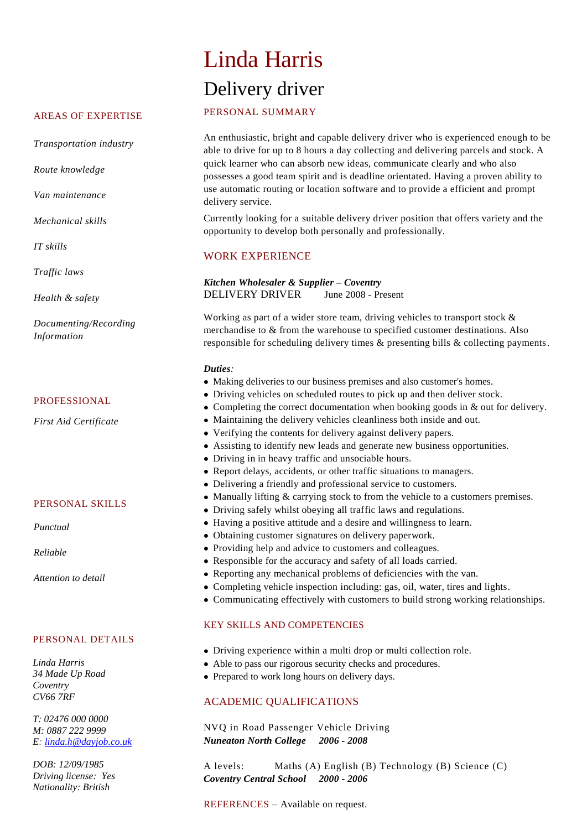# Linda Harris Delivery driver

# AREAS OF EXPERTISE

*Transportation industry*

*Route knowledge*

*Van maintenance* 

*Mechanical skills*

*IT skills*

*Traffic laws*

*Health & safety*

*Documenting/Recording Information*

#### PROFESSIONAL

*First Aid Certificate*

## PERSONAL SKILLS

*Punctual*

*Reliable*

*Attention to detail*

#### PERSONAL DETAILS

*Linda Harris 34 Made Up Road Coventry CV66 7RF*

*T: 02476 000 0000 M: 0887 222 9999 E: [linda.h@dayjob.co.uk](mailto:linda.h@dayjob.co.uk)*

*DOB: 12/09/1985 Driving license: Yes Nationality: British*

# PERSONAL SUMMARY

An enthusiastic, bright and capable delivery driver who is experienced enough to be able to drive for up to 8 hours a day collecting and delivering parcels and stock. A quick learner who can absorb new ideas, communicate clearly and who also possesses a good team spirit and is deadline orientated. Having a proven ability to use automatic routing or location software and to provide a efficient and prompt delivery service.

Currently looking for a suitable delivery driver position that offers variety and the opportunity to develop both personally and professionally.

## WORK EXPERIENCE

*Kitchen Wholesaler & Supplier – Coventry* DELIVERY DRIVER June 2008 - Present

Working as part of a wider store team, driving vehicles to transport stock & merchandise to & from the warehouse to specified customer destinations. Also responsible for scheduling delivery times & presenting bills & collecting payments.

#### *Duties:*

- Making deliveries to our business premises and also customer's homes.
- Driving vehicles on scheduled routes to pick up and then deliver stock.
- Completing the correct documentation when booking goods in & out for delivery.
- Maintaining the delivery vehicles cleanliness both inside and out.
- Verifying the contents for delivery against delivery papers.
- Assisting to identify new leads and generate new business opportunities.
- Driving in in heavy traffic and unsociable hours.
- Report delays, accidents, or other traffic situations to managers.
- Delivering a friendly and professional service to customers.
- Manually lifting & carrying stock to from the vehicle to a customers premises.
- Driving safely whilst obeying all traffic laws and regulations.
- Having a positive attitude and a desire and willingness to learn.
- Obtaining customer signatures on delivery paperwork.
- Providing help and advice to customers and colleagues.
- Responsible for the accuracy and safety of all loads carried.
- Reporting any mechanical problems of deficiencies with the van.
- Completing vehicle inspection including: gas, oil, water, tires and lights.
- Communicating effectively with customers to build strong working relationships.

### KEY SKILLS AND COMPETENCIES

- Driving experience within a multi drop or multi collection role.
- Able to pass our rigorous security checks and procedures.
- Prepared to work long hours on delivery days.

# ACADEMIC QUALIFICATIONS

NVQ in Road Passenger Vehicle Driving *Nuneaton North College 2006 - 2008* 

A levels: Maths (A) English (B) Technology (B) Science (C) *Coventry Central School 2000 - 2006*

REFERENCES – Available on request.